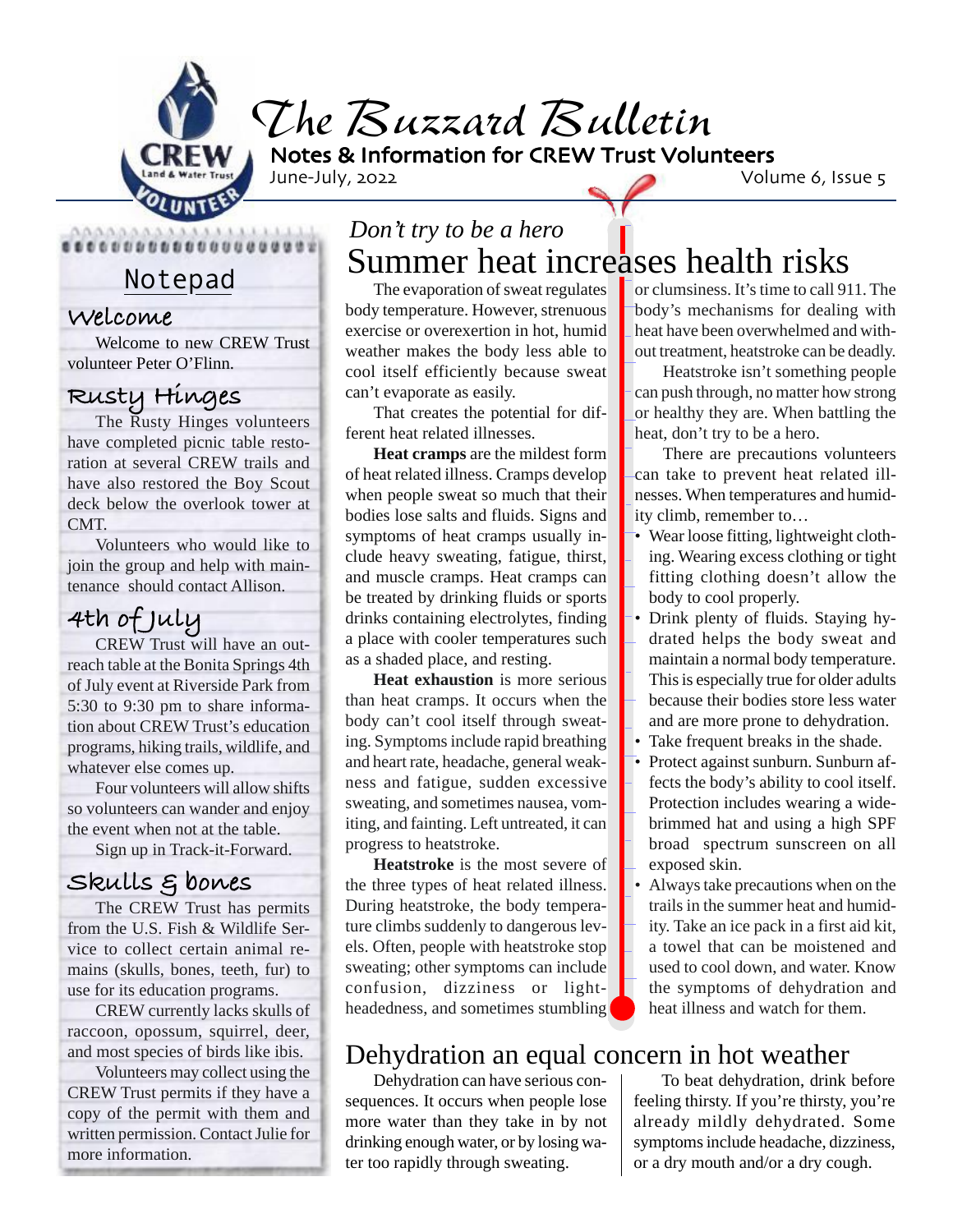

*The Buzzard Bulletin*

Notes & Information for CREW Trust Volunteers

June-July, 2022 Volume 6, Issue 5

#### **Welcome**

Welcome to new CREW Trust volunteer Peter O'Flinn.

### **Rusty Hinges**

The Rusty Hinges volunteers have completed picnic table restoration at several CREW trails and have also restored the Boy Scout deck below the overlook tower at CMT.

Volunteers who would like to join the group and help with maintenance should contact Allison.

### **4th of July**

CREW Trust will have an outreach table at the Bonita Springs 4th of July event at Riverside Park from 5:30 to 9:30 pm to share information about CREW Trust's education programs, hiking trails, wildlife, and whatever else comes up.

Four volunteers will allow shifts so volunteers can wander and enjoy the event when not at the table.

Sign up in Track-it-Forward.

#### **Skulls & bones**

The CREW Trust has permits from the U.S. Fish & Wildlife Service to collect certain animal remains (skulls, bones, teeth, fur) to use for its education programs.

CREW currently lacks skulls of raccoon, opossum, squirrel, deer, and most species of birds like ibis.

Volunteers may collect using the CREW Trust permits if they have a copy of the permit with them and written permission. Contact Julie for more information.

## Notepad Summer heat increases health risks *Don't try to be a hero*

The evaporation of sweat regulates body temperature. However, strenuous exercise or overexertion in hot, humid weather makes the body less able to cool itself efficiently because sweat can't evaporate as easily.

That creates the potential for different heat related illnesses.

**Heat cramps** are the mildest form of heat related illness. Cramps develop when people sweat so much that their bodies lose salts and fluids. Signs and symptoms of heat cramps usually include heavy sweating, fatigue, thirst, and muscle cramps. Heat cramps can be treated by drinking fluids or sports drinks containing electrolytes, finding a place with cooler temperatures such as a shaded place, and resting.

**Heat exhaustion** is more serious than heat cramps. It occurs when the body can't cool itself through sweating. Symptoms include rapid breathing and heart rate, headache, general weakness and fatigue, sudden excessive sweating, and sometimes nausea, vomiting, and fainting. Left untreated, it can progress to heatstroke.

**Heatstroke** is the most severe of the three types of heat related illness. During heatstroke, the body temperature climbs suddenly to dangerous levels. Often, people with heatstroke stop sweating; other symptoms can include confusion, dizziness or lightheadedness, and sometimes stumbling

### Dehydration an equal concern in hot weather

Dehydration can have serious consequences. It occurs when people lose more water than they take in by not drinking enough water, or by losing water too rapidly through sweating.

or clumsiness. It's time to call 911. The body's mechanisms for dealing with heat have been overwhelmed and without treatment, heatstroke can be deadly.

Heatstroke isn't something people can push through, no matter how strong or healthy they are. When battling the heat, don't try to be a hero.

There are precautions volunteers can take to prevent heat related illnesses. When temperatures and humidity climb, remember to…

- Wear loose fitting, lightweight clothing. Wearing excess clothing or tight fitting clothing doesn't allow the body to cool properly.
- Drink plenty of fluids. Staying hydrated helps the body sweat and maintain a normal body temperature. This is especially true for older adults because their bodies store less water and are more prone to dehydration.
- Take frequent breaks in the shade.
- Protect against sunburn. Sunburn affects the body's ability to cool itself. Protection includes wearing a widebrimmed hat and using a high SPF broad spectrum sunscreen on all exposed skin.
- Always take precautions when on the trails in the summer heat and humidity. Take an ice pack in a first aid kit, a towel that can be moistened and used to cool down, and water. Know the symptoms of dehydration and heat illness and watch for them.

To beat dehydration, drink before feeling thirsty. If you're thirsty, you're already mildly dehydrated. Some symptoms include headache, dizziness, or a dry mouth and/or a dry cough.